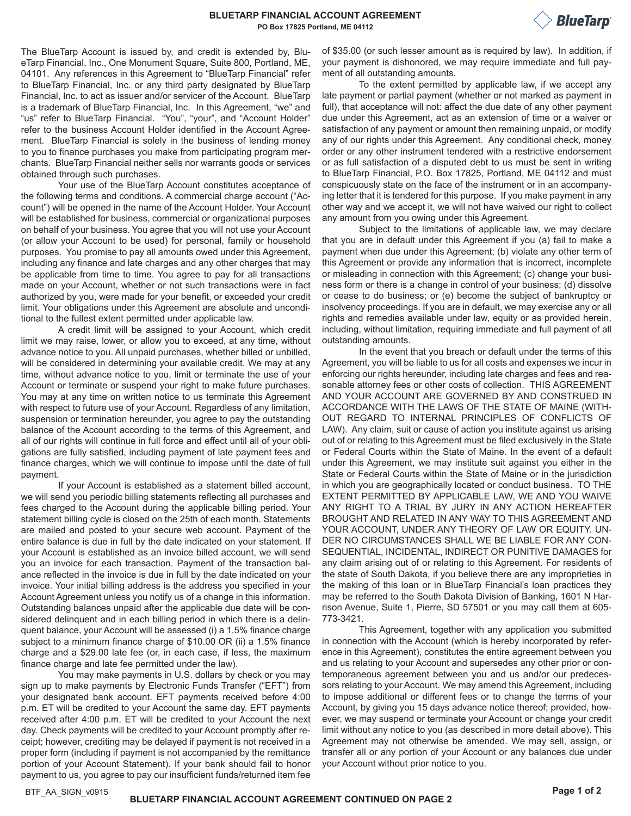The BlueTarp Account is issued by, and credit is extended by, BlueTarp Financial, Inc., One Monument Square, Suite 800, Portland, ME, 04101. Any references in this Agreement to "BlueTarp Financial" refer to BlueTarp Financial, Inc. or any third party designated by BlueTarp Financial, Inc. to act as issuer and/or servicer of the Account. BlueTarp is a trademark of BlueTarp Financial, Inc. In this Agreement, "we" and "us" refer to BlueTarp Financial. "You", "your", and "Account Holder" refer to the business Account Holder identified in the Account Agreement. BlueTarp Financial is solely in the business of lending money to you to finance purchases you make from participating program merchants. BlueTarp Financial neither sells nor warrants goods or services obtained through such purchases.

Your use of the BlueTarp Account constitutes acceptance of the following terms and conditions. A commercial charge account ("Account") will be opened in the name of the Account Holder. Your Account will be established for business, commercial or organizational purposes on behalf of your business. You agree that you will not use your Account (or allow your Account to be used) for personal, family or household purposes. You promise to pay all amounts owed under this Agreement, including any finance and late charges and any other charges that may be applicable from time to time. You agree to pay for all transactions made on your Account, whether or not such transactions were in fact authorized by you, were made for your benefit, or exceeded your credit limit. Your obligations under this Agreement are absolute and unconditional to the fullest extent permitted under applicable law.

A credit limit will be assigned to your Account, which credit limit we may raise, lower, or allow you to exceed, at any time, without advance notice to you. All unpaid purchases, whether billed or unbilled, will be considered in determining your available credit. We may at any time, without advance notice to you, limit or terminate the use of your Account or terminate or suspend your right to make future purchases. You may at any time on written notice to us terminate this Agreement with respect to future use of your Account. Regardless of any limitation, suspension or termination hereunder, you agree to pay the outstanding balance of the Account according to the terms of this Agreement, and all of our rights will continue in full force and effect until all of your obligations are fully satisfied, including payment of late payment fees and finance charges, which we will continue to impose until the date of full payment.

If your Account is established as a statement billed account, we will send you periodic billing statements reflecting all purchases and fees charged to the Account during the applicable billing period. Your statement billing cycle is closed on the 25th of each month. Statements are mailed and posted to your secure web account. Payment of the entire balance is due in full by the date indicated on your statement. If your Account is established as an invoice billed account, we will send you an invoice for each transaction. Payment of the transaction balance reflected in the invoice is due in full by the date indicated on your invoice. Your initial billing address is the address you specified in your Account Agreement unless you notify us of a change in this information. Outstanding balances unpaid after the applicable due date will be considered delinquent and in each billing period in which there is a delinquent balance, your Account will be assessed (i) a 1.5% finance charge subject to a minimum finance charge of \$10.00 OR (ii) a 1.5% finance charge and a \$29.00 late fee (or, in each case, if less, the maximum finance charge and late fee permitted under the law).

You may make payments in U.S. dollars by check or you may sign up to make payments by Electronic Funds Transfer ("EFT") from your designated bank account. EFT payments received before 4:00 p.m. ET will be credited to your Account the same day. EFT payments received after 4:00 p.m. ET will be credited to your Account the next day. Check payments will be credited to your Account promptly after receipt; however, crediting may be delayed if payment is not received in a proper form (including if payment is not accompanied by the remittance portion of your Account Statement). If your bank should fail to honor payment to us, you agree to pay our insufficient funds/returned item fee

of \$35.00 (or such lesser amount as is required by law). In addition, if your payment is dishonored, we may require immediate and full payment of all outstanding amounts.

To the extent permitted by applicable law, if we accept any late payment or partial payment (whether or not marked as payment in full), that acceptance will not: affect the due date of any other payment due under this Agreement, act as an extension of time or a waiver or satisfaction of any payment or amount then remaining unpaid, or modify any of our rights under this Agreement. Any conditional check, money order or any other instrument tendered with a restrictive endorsement or as full satisfaction of a disputed debt to us must be sent in writing to BlueTarp Financial, P.O. Box 17825, Portland, ME 04112 and must conspicuously state on the face of the instrument or in an accompanying letter that it is tendered for this purpose. If you make payment in any other way and we accept it, we will not have waived our right to collect any amount from you owing under this Agreement.

Subject to the limitations of applicable law, we may declare that you are in default under this Agreement if you (a) fail to make a payment when due under this Agreement; (b) violate any other term of this Agreement or provide any information that is incorrect, incomplete or misleading in connection with this Agreement; (c) change your business form or there is a change in control of your business; (d) dissolve or cease to do business; or (e) become the subject of bankruptcy or insolvency proceedings. If you are in default, we may exercise any or all rights and remedies available under law, equity or as provided herein, including, without limitation, requiring immediate and full payment of all outstanding amounts.

In the event that you breach or default under the terms of this Agreement, you will be liable to us for all costs and expenses we incur in enforcing our rights hereunder, including late charges and fees and reasonable attorney fees or other costs of collection. THIS AGREEMENT AND YOUR ACCOUNT ARE GOVERNED BY AND CONSTRUED IN ACCORDANCE WITH THE LAWS OF THE STATE OF MAINE (WITH-OUT REGARD TO INTERNAL PRINCIPLES OF CONFLICTS OF LAW). Any claim, suit or cause of action you institute against us arising out of or relating to this Agreement must be filed exclusively in the State or Federal Courts within the State of Maine. In the event of a default under this Agreement, we may institute suit against you either in the State or Federal Courts within the State of Maine or in the jurisdiction in which you are geographically located or conduct business. TO THE EXTENT PERMITTED BY APPLICABLE LAW, WE AND YOU WAIVE ANY RIGHT TO A TRIAL BY JURY IN ANY ACTION HEREAFTER BROUGHT AND RELATED IN ANY WAY TO THIS AGREEMENT AND YOUR ACCOUNT, UNDER ANY THEORY OF LAW OR EQUITY. UN-DER NO CIRCUMSTANCES SHALL WE BE LIABLE FOR ANY CON-SEQUENTIAL, INCIDENTAL, INDIRECT OR PUNITIVE DAMAGES for any claim arising out of or relating to this Agreement. For residents of the state of South Dakota, if you believe there are any improprieties in the making of this loan or in BlueTarp Financial's loan practices they may be referred to the South Dakota Division of Banking, 1601 N Harrison Avenue, Suite 1, Pierre, SD 57501 or you may call them at 605- 773-3421.

This Agreement, together with any application you submitted in connection with the Account (which is hereby incorporated by reference in this Agreement), constitutes the entire agreement between you and us relating to your Account and supersedes any other prior or contemporaneous agreement between you and us and/or our predecessors relating to your Account. We may amend this Agreement, including to impose additional or different fees or to change the terms of your Account, by giving you 15 days advance notice thereof; provided, however, we may suspend or terminate your Account or change your credit limit without any notice to you (as described in more detail above). This Agreement may not otherwise be amended. We may sell, assign, or transfer all or any portion of your Account or any balances due under your Account without prior notice to you.